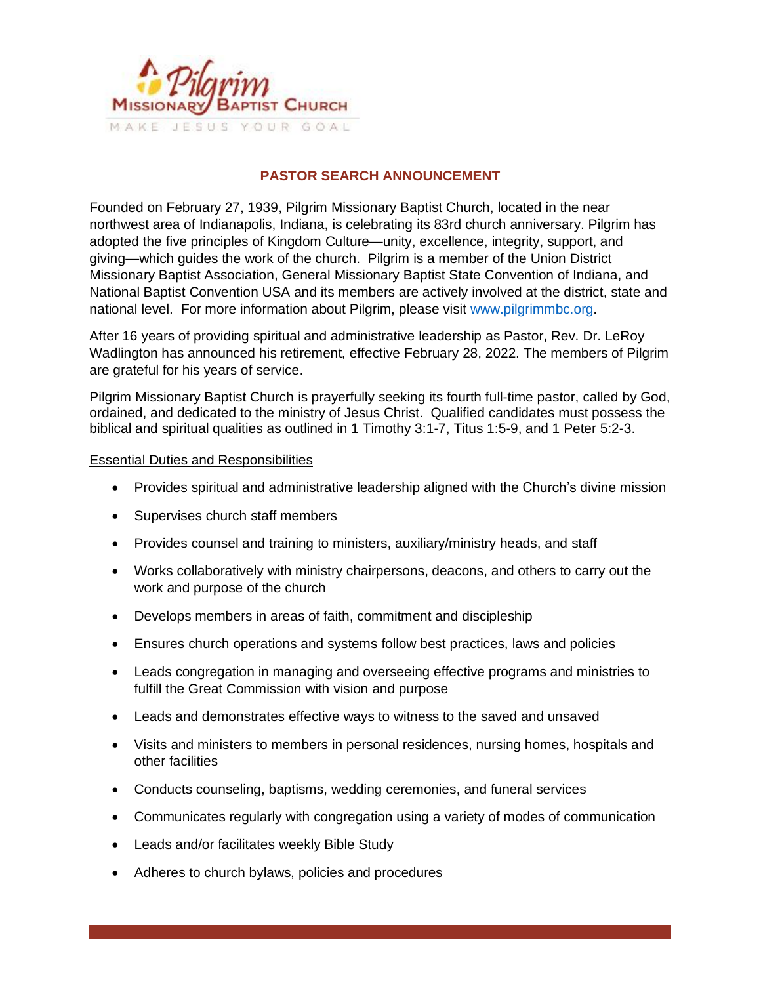

## **PASTOR SEARCH ANNOUNCEMENT**

Founded on February 27, 1939, Pilgrim Missionary Baptist Church, located in the near northwest area of Indianapolis, Indiana, is celebrating its 83rd church anniversary. Pilgrim has adopted the five principles of Kingdom Culture—unity, excellence, integrity, support, and giving—which guides the work of the church. Pilgrim is a member of the Union District Missionary Baptist Association, General Missionary Baptist State Convention of Indiana, and National Baptist Convention USA and its members are actively involved at the district, state and national level. For more information about Pilgrim, please visit [www.pilgrimmbc.org.](http://www.pilgrimmbc.org/)

After 16 years of providing spiritual and administrative leadership as Pastor, Rev. Dr. LeRoy Wadlington has announced his retirement, effective February 28, 2022. The members of Pilgrim are grateful for his years of service.

Pilgrim Missionary Baptist Church is prayerfully seeking its fourth full-time pastor, called by God, ordained, and dedicated to the ministry of Jesus Christ. Qualified candidates must possess the biblical and spiritual qualities as outlined in 1 Timothy 3:1-7, Titus 1:5-9, and 1 Peter 5:2-3.

#### Essential Duties and Responsibilities

- Provides spiritual and administrative leadership aligned with the Church's divine mission
- Supervises church staff members
- Provides counsel and training to ministers, auxiliary/ministry heads, and staff
- Works collaboratively with ministry chairpersons, deacons, and others to carry out the work and purpose of the church
- Develops members in areas of faith, commitment and discipleship
- Ensures church operations and systems follow best practices, laws and policies
- Leads congregation in managing and overseeing effective programs and ministries to fulfill the Great Commission with vision and purpose
- Leads and demonstrates effective ways to witness to the saved and unsaved
- Visits and ministers to members in personal residences, nursing homes, hospitals and other facilities
- Conducts counseling, baptisms, wedding ceremonies, and funeral services
- Communicates regularly with congregation using a variety of modes of communication
- Leads and/or facilitates weekly Bible Study
- Adheres to church bylaws, policies and procedures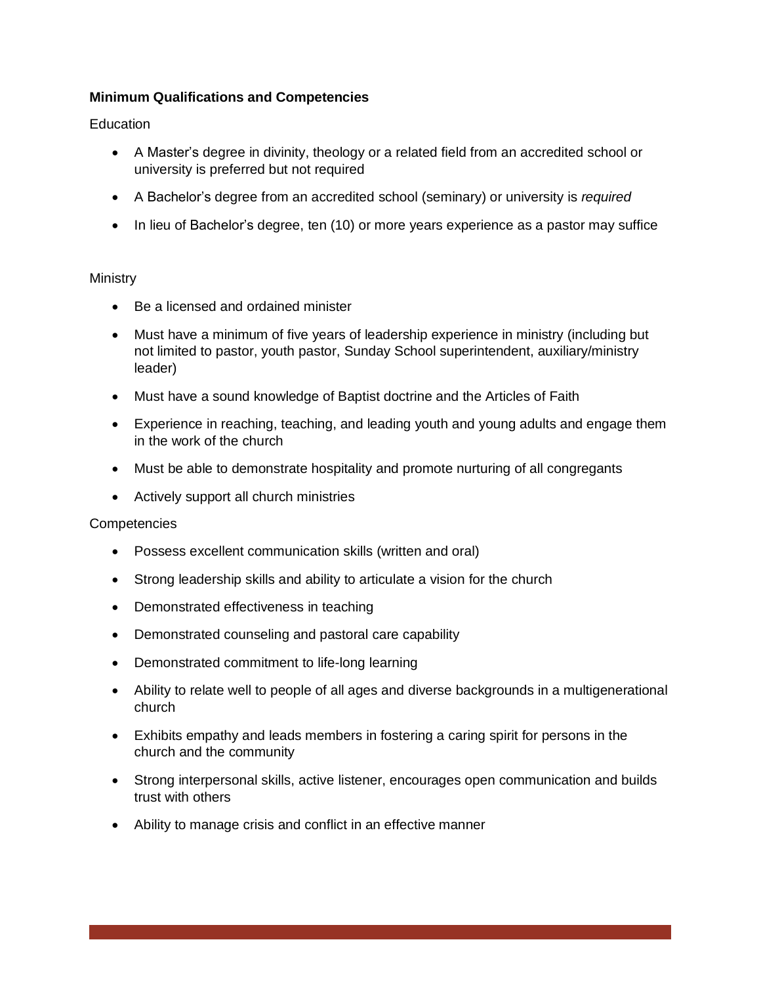# **Minimum Qualifications and Competencies**

**Education** 

- A Master's degree in divinity, theology or a related field from an accredited school or university is preferred but not required
- A Bachelor's degree from an accredited school (seminary) or university is *required*
- In lieu of Bachelor's degree, ten (10) or more years experience as a pastor may suffice

## **Ministry**

- Be a licensed and ordained minister
- Must have a minimum of five years of leadership experience in ministry (including but not limited to pastor, youth pastor, Sunday School superintendent, auxiliary/ministry leader)
- Must have a sound knowledge of Baptist doctrine and the Articles of Faith
- Experience in reaching, teaching, and leading youth and young adults and engage them in the work of the church
- Must be able to demonstrate hospitality and promote nurturing of all congregants
- Actively support all church ministries

## **Competencies**

- Possess excellent communication skills (written and oral)
- Strong leadership skills and ability to articulate a vision for the church
- Demonstrated effectiveness in teaching
- Demonstrated counseling and pastoral care capability
- Demonstrated commitment to life-long learning
- Ability to relate well to people of all ages and diverse backgrounds in a multigenerational church
- Exhibits empathy and leads members in fostering a caring spirit for persons in the church and the community
- Strong interpersonal skills, active listener, encourages open communication and builds trust with others
- Ability to manage crisis and conflict in an effective manner